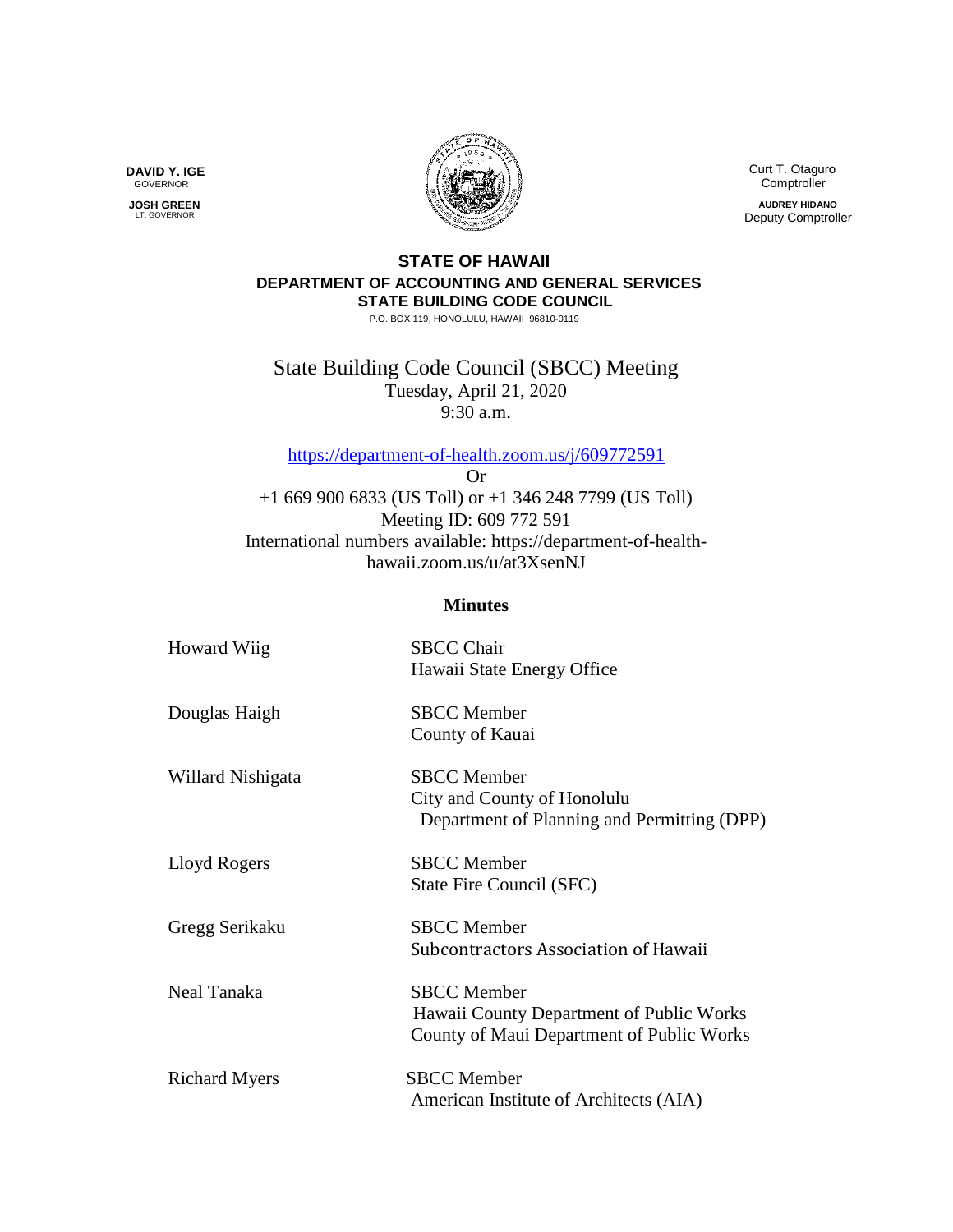Curt T. Otaguro Comptroller

**AUDREY HIDANO** Deputy Comptroller

## **STATE OF HAWAII DEPARTMENT OF ACCOUNTING AND GENERAL SERVICES STATE BUILDING CODE COUNCIL**

P.O. BOX 119, HONOLULU, HAWAII 96810-0119

State Building Code Council (SBCC) Meeting Tuesday, April 21, 2020 9:30 a.m.

<https://department-of-health.zoom.us/j/609772591>

Or +1 669 900 6833 (US Toll) or +1 346 248 7799 (US Toll) Meeting ID: 609 772 591 International numbers available: https://department-of-healthhawaii.zoom.us/u/at3XsenNJ

## **Minutes**

| Howard Wiig          | <b>SBCC Chair</b><br>Hawaii State Energy Office                                                             |
|----------------------|-------------------------------------------------------------------------------------------------------------|
| Douglas Haigh        | <b>SBCC</b> Member<br>County of Kauai                                                                       |
| Willard Nishigata    | <b>SBCC</b> Member<br>City and County of Honolulu<br>Department of Planning and Permitting (DPP)            |
| Lloyd Rogers         | <b>SBCC</b> Member<br>State Fire Council (SFC)                                                              |
| Gregg Serikaku       | <b>SBCC</b> Member<br>Subcontractors Association of Hawaii                                                  |
| Neal Tanaka          | <b>SBCC</b> Member<br>Hawaii County Department of Public Works<br>County of Maui Department of Public Works |
| <b>Richard Myers</b> | <b>SBCC</b> Member<br>American Institute of Architects (AIA)                                                |



 **JOSH GREEN** LT. GOVERNOR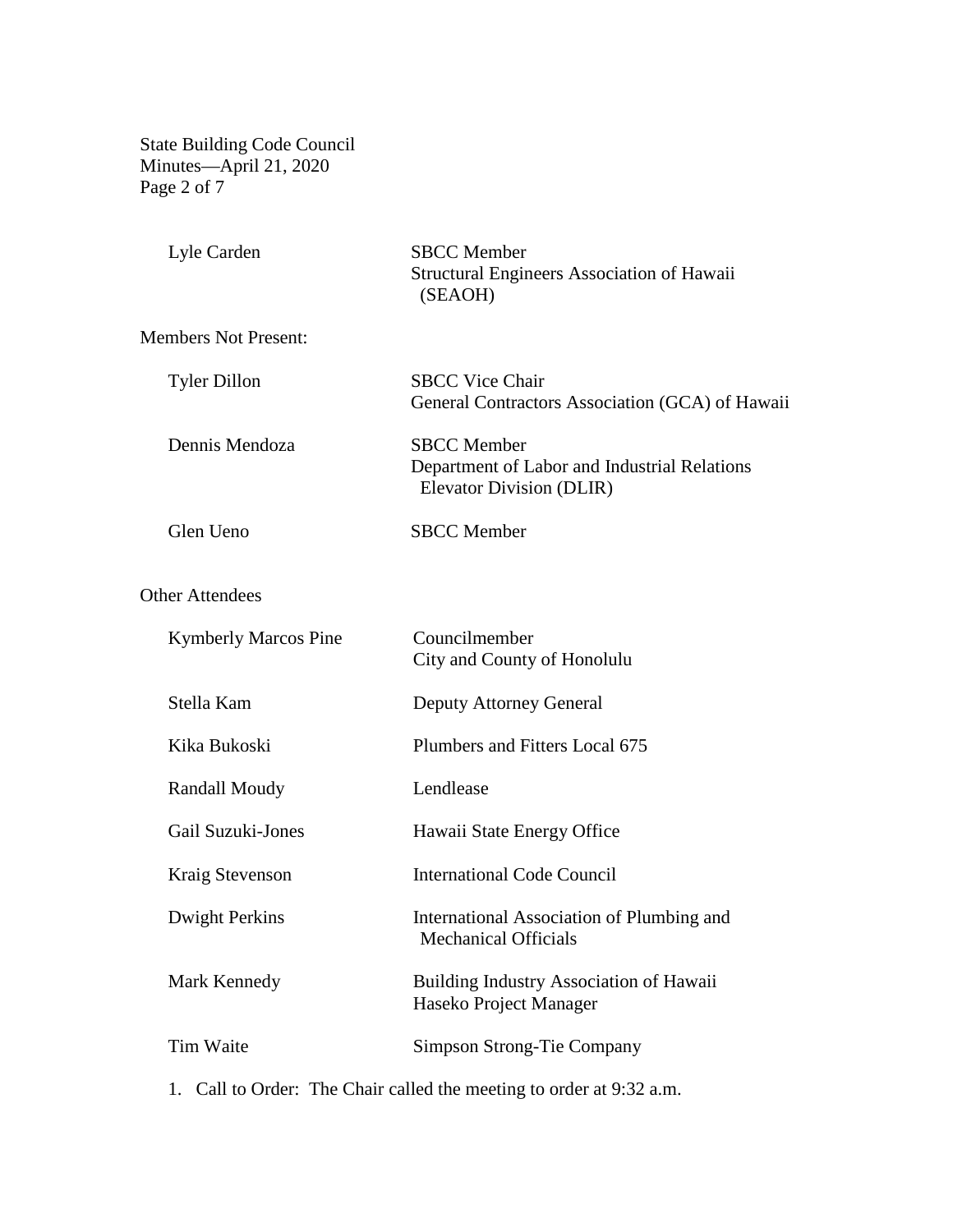State Building Code Council Minutes—April 21, 2020 Page 2 of 7

| Lyle Carden                 | <b>SBCC</b> Member<br><b>Structural Engineers Association of Hawaii</b><br>(SEAOH)             |
|-----------------------------|------------------------------------------------------------------------------------------------|
| <b>Members Not Present:</b> |                                                                                                |
| <b>Tyler Dillon</b>         | <b>SBCC Vice Chair</b><br>General Contractors Association (GCA) of Hawaii                      |
| Dennis Mendoza              | <b>SBCC</b> Member<br>Department of Labor and Industrial Relations<br>Elevator Division (DLIR) |
| Glen Ueno                   | <b>SBCC</b> Member                                                                             |
| <b>Other Attendees</b>      |                                                                                                |
| <b>Kymberly Marcos Pine</b> | Councilmember<br>City and County of Honolulu                                                   |
| Stella Kam                  | <b>Deputy Attorney General</b>                                                                 |
| Kika Bukoski                | Plumbers and Fitters Local 675                                                                 |
| <b>Randall Moudy</b>        | Lendlease                                                                                      |
| Gail Suzuki-Jones           | Hawaii State Energy Office                                                                     |
| Kraig Stevenson             | <b>International Code Council</b>                                                              |
| <b>Dwight Perkins</b>       | International Association of Plumbing and<br><b>Mechanical Officials</b>                       |
| Mark Kennedy                | Building Industry Association of Hawaii<br>Haseko Project Manager                              |
| Tim Waite                   | <b>Simpson Strong-Tie Company</b>                                                              |
|                             |                                                                                                |

1. Call to Order: The Chair called the meeting to order at 9:32 a.m.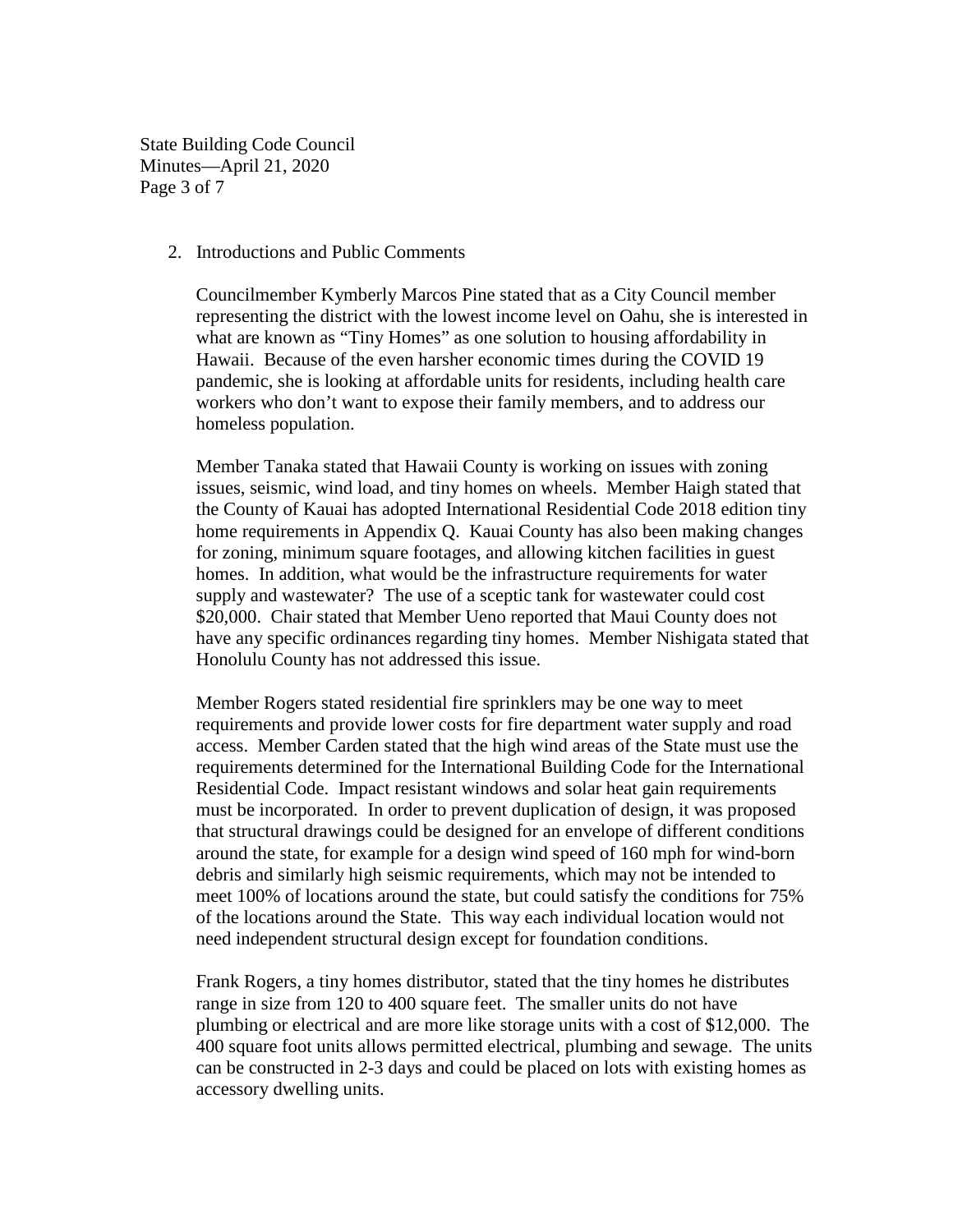State Building Code Council Minutes—April 21, 2020 Page 3 of 7

2. Introductions and Public Comments

Councilmember Kymberly Marcos Pine stated that as a City Council member representing the district with the lowest income level on Oahu, she is interested in what are known as "Tiny Homes" as one solution to housing affordability in Hawaii. Because of the even harsher economic times during the COVID 19 pandemic, she is looking at affordable units for residents, including health care workers who don't want to expose their family members, and to address our homeless population.

Member Tanaka stated that Hawaii County is working on issues with zoning issues, seismic, wind load, and tiny homes on wheels. Member Haigh stated that the County of Kauai has adopted International Residential Code 2018 edition tiny home requirements in Appendix Q. Kauai County has also been making changes for zoning, minimum square footages, and allowing kitchen facilities in guest homes. In addition, what would be the infrastructure requirements for water supply and wastewater? The use of a sceptic tank for wastewater could cost \$20,000. Chair stated that Member Ueno reported that Maui County does not have any specific ordinances regarding tiny homes. Member Nishigata stated that Honolulu County has not addressed this issue.

Member Rogers stated residential fire sprinklers may be one way to meet requirements and provide lower costs for fire department water supply and road access. Member Carden stated that the high wind areas of the State must use the requirements determined for the International Building Code for the International Residential Code. Impact resistant windows and solar heat gain requirements must be incorporated. In order to prevent duplication of design, it was proposed that structural drawings could be designed for an envelope of different conditions around the state, for example for a design wind speed of 160 mph for wind-born debris and similarly high seismic requirements, which may not be intended to meet 100% of locations around the state, but could satisfy the conditions for 75% of the locations around the State. This way each individual location would not need independent structural design except for foundation conditions.

Frank Rogers, a tiny homes distributor, stated that the tiny homes he distributes range in size from 120 to 400 square feet. The smaller units do not have plumbing or electrical and are more like storage units with a cost of \$12,000. The 400 square foot units allows permitted electrical, plumbing and sewage. The units can be constructed in 2-3 days and could be placed on lots with existing homes as accessory dwelling units.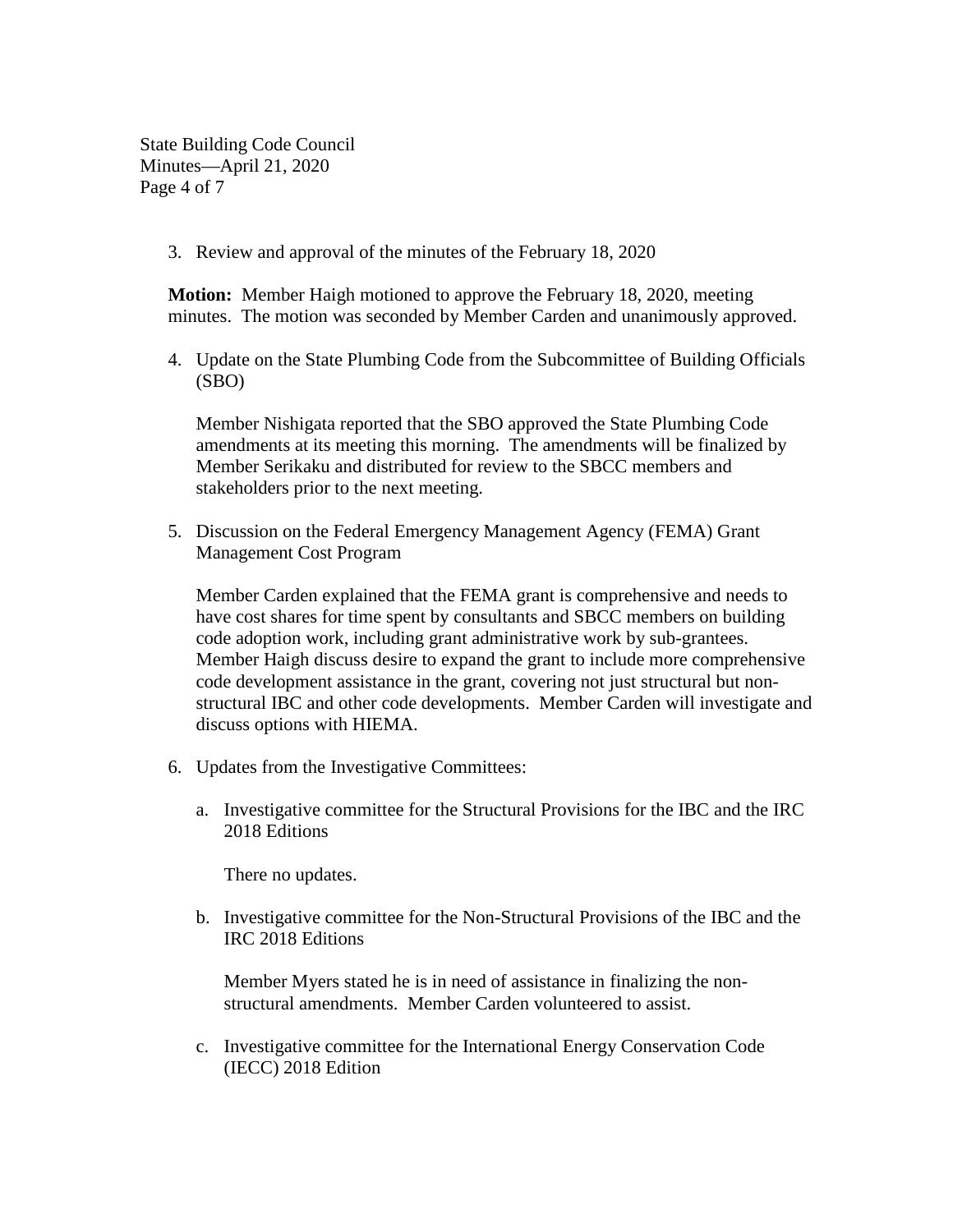State Building Code Council Minutes—April 21, 2020 Page 4 of 7

3. Review and approval of the minutes of the February 18, 2020

**Motion:** Member Haigh motioned to approve the February 18, 2020, meeting minutes. The motion was seconded by Member Carden and unanimously approved.

4. Update on the State Plumbing Code from the Subcommittee of Building Officials (SBO)

Member Nishigata reported that the SBO approved the State Plumbing Code amendments at its meeting this morning. The amendments will be finalized by Member Serikaku and distributed for review to the SBCC members and stakeholders prior to the next meeting.

5. Discussion on the Federal Emergency Management Agency (FEMA) Grant Management Cost Program

Member Carden explained that the FEMA grant is comprehensive and needs to have cost shares for time spent by consultants and SBCC members on building code adoption work, including grant administrative work by sub-grantees. Member Haigh discuss desire to expand the grant to include more comprehensive code development assistance in the grant, covering not just structural but nonstructural IBC and other code developments. Member Carden will investigate and discuss options with HIEMA.

- 6. Updates from the Investigative Committees:
	- a. Investigative committee for the Structural Provisions for the IBC and the IRC 2018 Editions

There no updates.

b. Investigative committee for the Non-Structural Provisions of the IBC and the IRC 2018 Editions

Member Myers stated he is in need of assistance in finalizing the nonstructural amendments. Member Carden volunteered to assist.

c. Investigative committee for the International Energy Conservation Code (IECC) 2018 Edition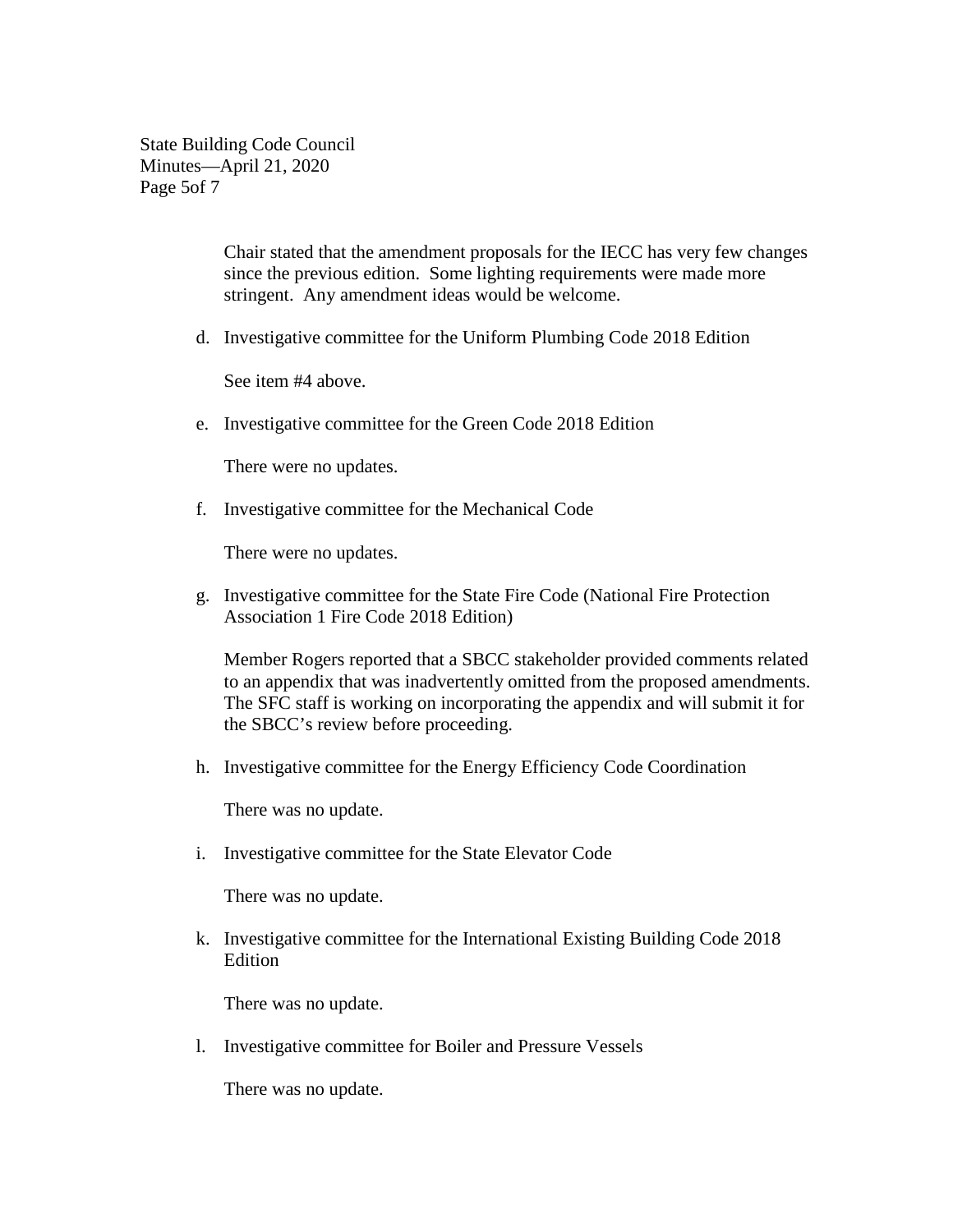State Building Code Council Minutes—April 21, 2020 Page 5of 7

> Chair stated that the amendment proposals for the IECC has very few changes since the previous edition. Some lighting requirements were made more stringent. Any amendment ideas would be welcome.

d. Investigative committee for the Uniform Plumbing Code 2018 Edition

See item #4 above.

e. Investigative committee for the Green Code 2018 Edition

There were no updates.

f. Investigative committee for the Mechanical Code

There were no updates.

g. Investigative committee for the State Fire Code (National Fire Protection Association 1 Fire Code 2018 Edition)

Member Rogers reported that a SBCC stakeholder provided comments related to an appendix that was inadvertently omitted from the proposed amendments. The SFC staff is working on incorporating the appendix and will submit it for the SBCC's review before proceeding.

h. Investigative committee for the Energy Efficiency Code Coordination

There was no update.

i. Investigative committee for the State Elevator Code

There was no update.

k. Investigative committee for the International Existing Building Code 2018 Edition

There was no update.

l. Investigative committee for Boiler and Pressure Vessels

There was no update.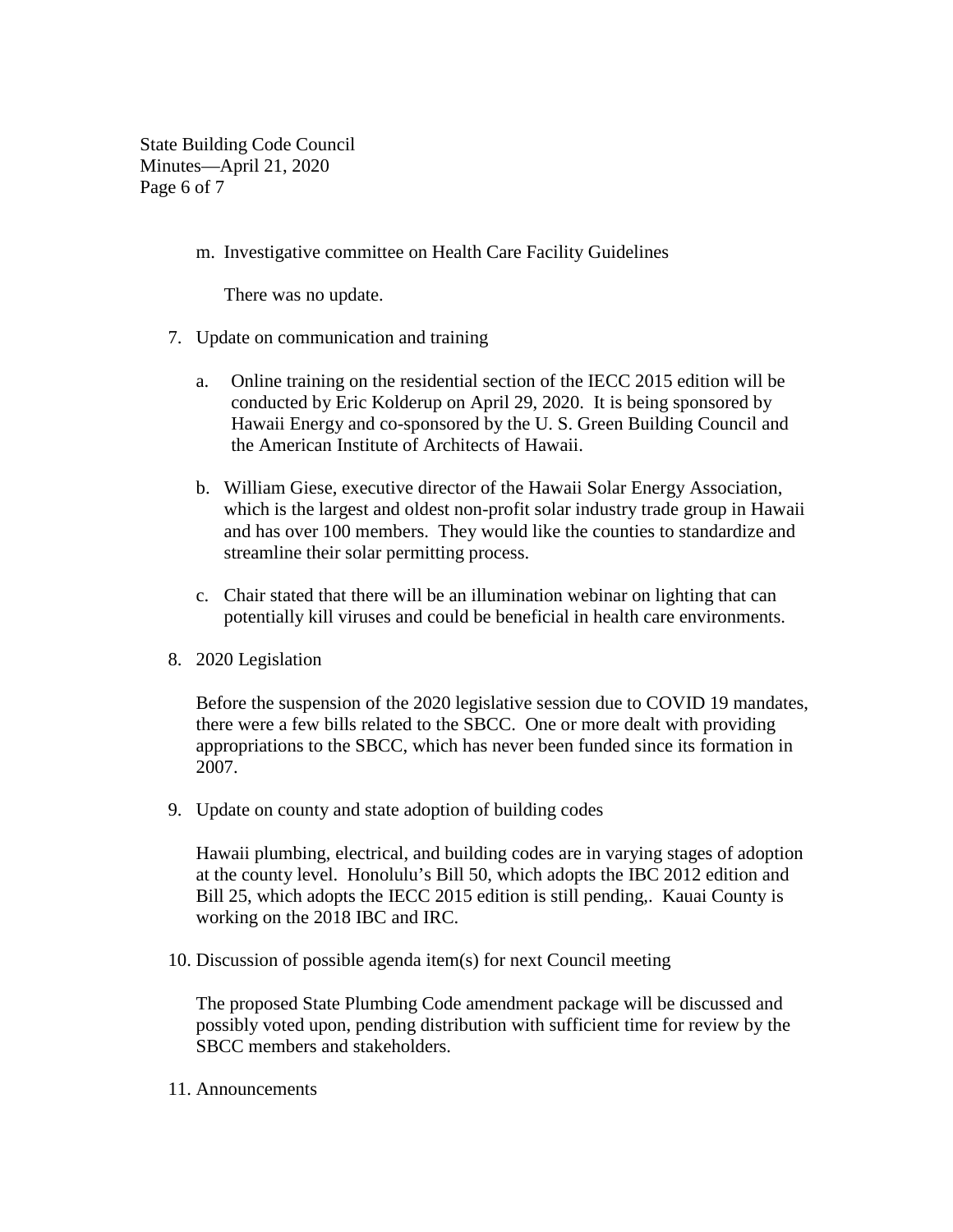State Building Code Council Minutes—April 21, 2020 Page 6 of 7

m. Investigative committee on Health Care Facility Guidelines

There was no update.

- 7. Update on communication and training
	- a. Online training on the residential section of the IECC 2015 edition will be conducted by Eric Kolderup on April 29, 2020. It is being sponsored by Hawaii Energy and co-sponsored by the U. S. Green Building Council and the American Institute of Architects of Hawaii.
	- b. William Giese, executive director of the Hawaii Solar Energy Association, which is the largest and oldest non-profit solar industry trade group in Hawaii and has over 100 members. They would like the counties to standardize and streamline their solar permitting process.
	- c. Chair stated that there will be an illumination webinar on lighting that can potentially kill viruses and could be beneficial in health care environments.
- 8. 2020 Legislation

Before the suspension of the 2020 legislative session due to COVID 19 mandates, there were a few bills related to the SBCC. One or more dealt with providing appropriations to the SBCC, which has never been funded since its formation in 2007.

9. Update on county and state adoption of building codes

Hawaii plumbing, electrical, and building codes are in varying stages of adoption at the county level. Honolulu's Bill 50, which adopts the IBC 2012 edition and Bill 25, which adopts the IECC 2015 edition is still pending,. Kauai County is working on the 2018 IBC and IRC.

10. Discussion of possible agenda item(s) for next Council meeting

The proposed State Plumbing Code amendment package will be discussed and possibly voted upon, pending distribution with sufficient time for review by the SBCC members and stakeholders.

11. Announcements